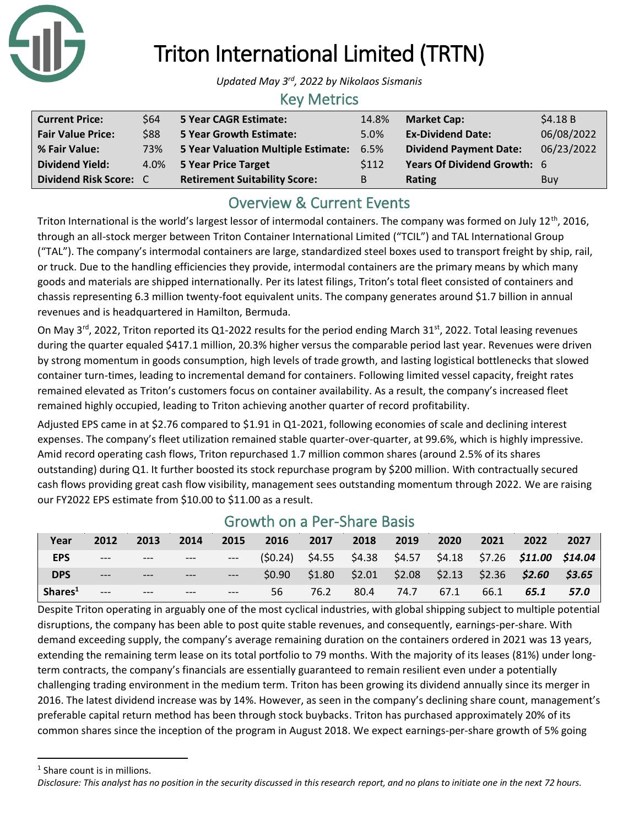

# Triton International Limited (TRTN)

*Updated May 3rd, 2022 by Nikolaos Sismanis*

#### Key Metrics

| <b>Current Price:</b>    | \$64 | 5 Year CAGR Estimate:                | 14.8%       | <b>Market Cap:</b>            | \$4.18B    |
|--------------------------|------|--------------------------------------|-------------|-------------------------------|------------|
| <b>Fair Value Price:</b> | \$88 | <b>5 Year Growth Estimate:</b>       | 5.0%        | <b>Ex-Dividend Date:</b>      | 06/08/2022 |
| % Fair Value:            | 73%  | 5 Year Valuation Multiple Estimate:  | 6.5%        | <b>Dividend Payment Date:</b> | 06/23/2022 |
| <b>Dividend Yield:</b>   |      | 4.0% 5 Year Price Target             | <b>S112</b> | Years Of Dividend Growth: 6   |            |
| Dividend Risk Score: C   |      | <b>Retirement Suitability Score:</b> | B           | <b>Rating</b>                 | <b>Buy</b> |

# Overview & Current Events

Triton International is the world's largest lessor of intermodal containers. The company was formed on July 12<sup>th</sup>, 2016, through an all-stock merger between Triton Container International Limited ("TCIL") and TAL International Group ("TAL"). The company's intermodal containers are large, standardized steel boxes used to transport freight by ship, rail, or truck. Due to the handling efficiencies they provide, intermodal containers are the primary means by which many goods and materials are shipped internationally. Per its latest filings, Triton's total fleet consisted of containers and chassis representing 6.3 million twenty-foot equivalent units. The company generates around \$1.7 billion in annual revenues and is headquartered in Hamilton, Bermuda.

On May 3<sup>rd</sup>, 2022, Triton reported its Q1-2022 results for the period ending March 31<sup>st</sup>, 2022. Total leasing revenues during the quarter equaled \$417.1 million, 20.3% higher versus the comparable period last year. Revenues were driven by strong momentum in goods consumption, high levels of trade growth, and lasting logistical bottlenecks that slowed container turn-times, leading to incremental demand for containers. Following limited vessel capacity, freight rates remained elevated as Triton's customers focus on container availability. As a result, the company's increased fleet remained highly occupied, leading to Triton achieving another quarter of record profitability.

Adjusted EPS came in at \$2.76 compared to \$1.91 in Q1-2021, following economies of scale and declining interest expenses. The company's fleet utilization remained stable quarter-over-quarter, at 99.6%, which is highly impressive. Amid record operating cash flows, Triton repurchased 1.7 million common shares (around 2.5% of its shares outstanding) during Q1. It further boosted its stock repurchase program by \$200 million. With contractually secured cash flows providing great cash flow visibility, management sees outstanding momentum through 2022. We are raising our FY2022 EPS estimate from \$10.00 to \$11.00 as a result.

### Growth on a Per-Share Basis

| Year                            | 2012                                                | 2013  | 2014  |       | 2015 2016 2017 2018                                                            |      | 2019           | 2020 | 2021 | 2022                                                            | 2027 |
|---------------------------------|-----------------------------------------------------|-------|-------|-------|--------------------------------------------------------------------------------|------|----------------|------|------|-----------------------------------------------------------------|------|
| <b>EPS</b>                      | $\frac{1}{2}$ and $\frac{1}{2}$ . The $\frac{1}{2}$ |       |       |       | --- --- --- (\$0.24) \$4.55 \$4.38 \$4.57 \$4.18 \$7.26 <b>\$11.00 \$14.04</b> |      |                |      |      |                                                                 |      |
| <b>DPS</b>                      | $---$                                               |       |       |       |                                                                                |      |                |      |      | $$0.90$ $$1.80$ $$2.01$ $$2.08$ $$2.13$ $$2.36$ $$2.60$ $$3.65$ |      |
| $\mathsf{S}$ hares <sup>1</sup> | $---$                                               | $---$ | $---$ | $---$ | 56                                                                             | 76.2 | 80.4 74.7 67.1 |      | 66.1 | 65.1                                                            | 57.0 |

Despite Triton operating in arguably one of the most cyclical industries, with global shipping subject to multiple potential disruptions, the company has been able to post quite stable revenues, and consequently, earnings-per-share. With demand exceeding supply, the company's average remaining duration on the containers ordered in 2021 was 13 years, extending the remaining term lease on its total portfolio to 79 months. With the majority of its leases (81%) under longterm contracts, the company's financials are essentially guaranteed to remain resilient even under a potentially challenging trading environment in the medium term. Triton has been growing its dividend annually since its merger in 2016. The latest dividend increase was by 14%. However, as seen in the company's declining share count, management's preferable capital return method has been through stock buybacks. Triton has purchased approximately 20% of its common shares since the inception of the program in August 2018. We expect earnings-per-share growth of 5% going

<sup>1</sup> Share count is in millions.

*Disclosure: This analyst has no position in the security discussed in this research report, and no plans to initiate one in the next 72 hours.*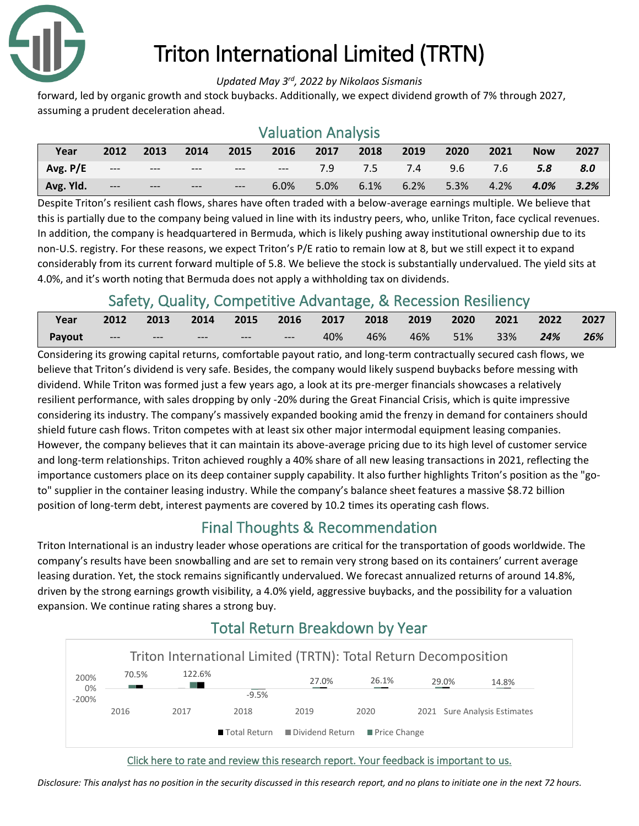

# Triton International Limited (TRTN)

*Updated May 3rd, 2022 by Nikolaos Sismanis*

forward, led by organic growth and stock buybacks. Additionally, we expect dividend growth of 7% through 2027, assuming a prudent deceleration ahead.

### Valuation Analysis

| Year                    | 2012  | 2013                   | 2014  | $\sim$ 2015 | 2016 | 2017 2018 |      | 2019                        | 2020      | 2021    | <b>Now</b>      | 2027 |
|-------------------------|-------|------------------------|-------|-------------|------|-----------|------|-----------------------------|-----------|---------|-----------------|------|
| $\overline{A}$ Avg. P/E |       | المعقب المتعادل المعقب |       |             |      |           |      | --- --- 7.9 7.5 7.4 9.6 7.6 |           |         | 5.8             | 8.0  |
| Avg. Yld.               | $---$ | <b>Contract</b>        | $---$ | $---$       | 6.0% | 5.0%      | 6.1% |                             | 6.2% 5.3% | $4.2\%$ | $4.0\%$ $3.2\%$ |      |

Despite Triton's resilient cash flows, shares have often traded with a below-average earnings multiple. We believe that this is partially due to the company being valued in line with its industry peers, who, unlike Triton, face cyclical revenues. In addition, the company is headquartered in Bermuda, which is likely pushing away institutional ownership due to its non-U.S. registry. For these reasons, we expect Triton's P/E ratio to remain low at 8, but we still expect it to expand considerably from its current forward multiple of 5.8. We believe the stock is substantially undervalued. The yield sits at 4.0%, and it's worth noting that Bermuda does not apply a withholding tax on dividends.

# Safety, Quality, Competitive Advantage, & Recession Resiliency

| Year   | 2012  | 2013  | 2014  | 2015 2016 2017 2018 2019 2020 |       |     |     |     |         | 2021 | 2022 | 2027 |
|--------|-------|-------|-------|-------------------------------|-------|-----|-----|-----|---------|------|------|------|
| Payout | $---$ | $---$ | $---$ | $---$                         | $---$ | 40% | 46% | 46% | $-51\%$ | 33%  | 24%  | 26%  |

Considering its growing capital returns, comfortable payout ratio, and long-term contractually secured cash flows, we believe that Triton's dividend is very safe. Besides, the company would likely suspend buybacks before messing with dividend. While Triton was formed just a few years ago, a look at its pre-merger financials showcases a relatively resilient performance, with sales dropping by only -20% during the Great Financial Crisis, which is quite impressive considering its industry. The company's massively expanded booking amid the frenzy in demand for containers should shield future cash flows. Triton competes with at least six other major intermodal equipment leasing companies. However, the company believes that it can maintain its above-average pricing due to its high level of customer service and long-term relationships. Triton achieved roughly a 40% share of all new leasing transactions in 2021, reflecting the importance customers place on its deep container supply capability. It also further highlights Triton's position as the "goto" supplier in the container leasing industry. While the company's balance sheet features a massive \$8.72 billion position of long-term debt, interest payments are covered by 10.2 times its operating cash flows.

# Final Thoughts & Recommendation

Triton International is an industry leader whose operations are critical for the transportation of goods worldwide. The company's results have been snowballing and are set to remain very strong based on its containers' current average leasing duration. Yet, the stock remains significantly undervalued. We forecast annualized returns of around 14.8%, driven by the strong earnings growth visibility, a 4.0% yield, aggressive buybacks, and the possibility for a valuation expansion. We continue rating shares a strong buy.



# Total Return Breakdown by Year

[Click here to rate and review this research report. Your feedback is important to us.](https://suredividend.typeform.com/to/qc67nT)

*Disclosure: This analyst has no position in the security discussed in this research report, and no plans to initiate one in the next 72 hours.*